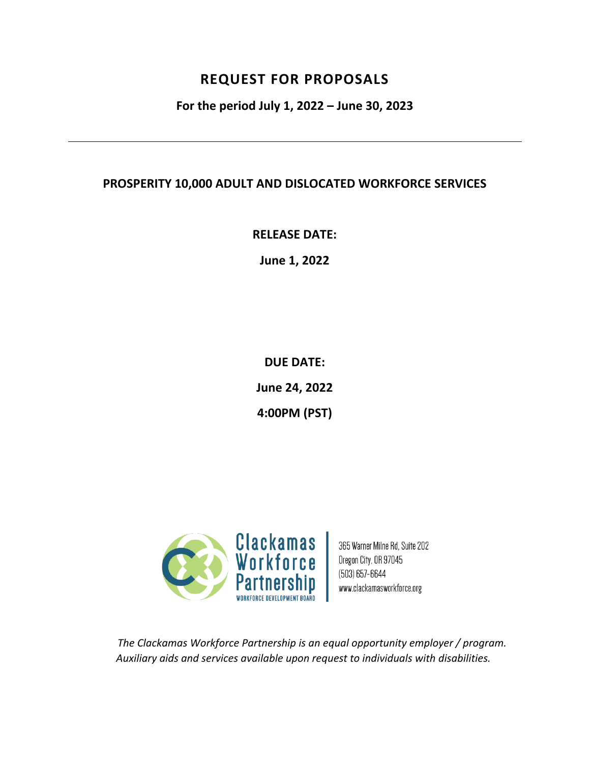# **REQUEST FOR PROPOSALS**

**For the period July 1, 2022 – June 30, 2023**

# **PROSPERITY 10,000 ADULT AND DISLOCATED WORKFORCE SERVICES**

**RELEASE DATE:**

**June 1, 2022**

**DUE DATE: June 24, 2022**

**4:00PM (PST)**



365 Warner Milne Rd, Suite 202 Oregon City, OR 97045  $(503) 657 - 6644$ www.clackamasworkforce.org

*The Clackamas Workforce Partnership is an equal opportunity employer / program. Auxiliary aids and services available upon request to individuals with disabilities.*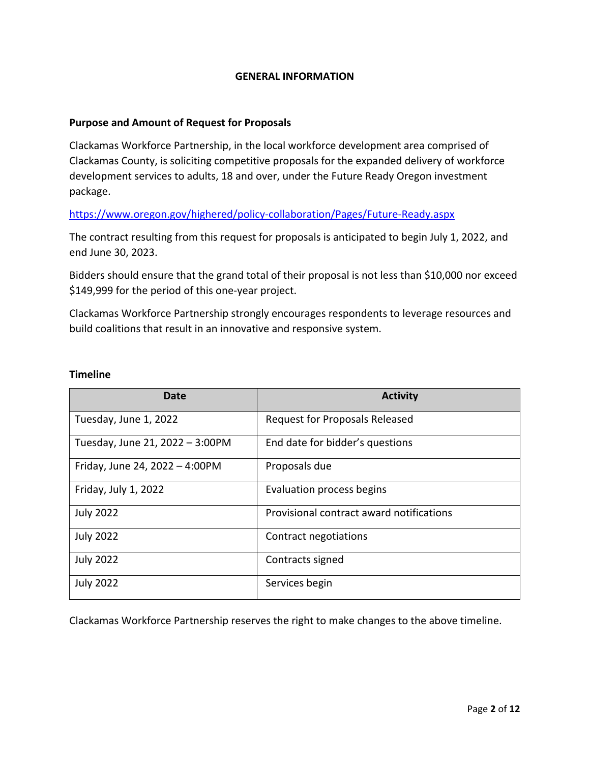#### **GENERAL INFORMATION**

#### **Purpose and Amount of Request for Proposals**

Clackamas Workforce Partnership, in the local workforce development area comprised of Clackamas County, is soliciting competitive proposals for the expanded delivery of workforce development services to adults, 18 and over, under the Future Ready Oregon investment package.

<https://www.oregon.gov/highered/policy-collaboration/Pages/Future-Ready.aspx>

The contract resulting from this request for proposals is anticipated to begin July 1, 2022, and end June 30, 2023.

Bidders should ensure that the grand total of their proposal is not less than \$10,000 nor exceed \$149,999 for the period of this one-year project.

Clackamas Workforce Partnership strongly encourages respondents to leverage resources and build coalitions that result in an innovative and responsive system.

#### **Timeline**

| Date                            | <b>Activity</b>                          |
|---------------------------------|------------------------------------------|
| Tuesday, June 1, 2022           | <b>Request for Proposals Released</b>    |
| Tuesday, June 21, 2022 - 3:00PM | End date for bidder's questions          |
| Friday, June 24, 2022 - 4:00PM  | Proposals due                            |
| Friday, July 1, 2022            | Evaluation process begins                |
| <b>July 2022</b>                | Provisional contract award notifications |
| <b>July 2022</b>                | Contract negotiations                    |
| <b>July 2022</b>                | Contracts signed                         |
| <b>July 2022</b>                | Services begin                           |

Clackamas Workforce Partnership reserves the right to make changes to the above timeline.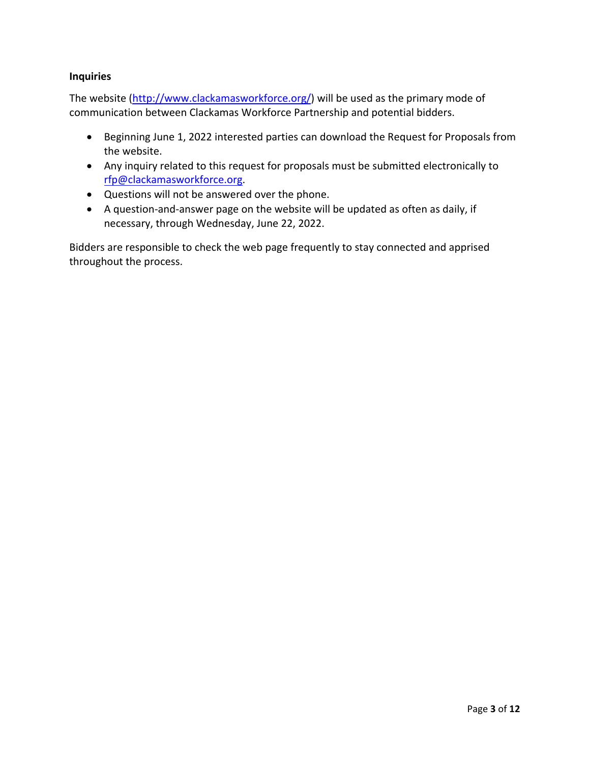#### **Inquiries**

The website (http://www.clackamasworkforce.org/) will be used as the primary mode of communication between Clackamas Workforce Partnership and potential bidders.

- Beginning June 1, 2022 interested parties can download the Request for Proposals from the website.
- Any inquiry related to this request for proposals must be submitted electronically to rfp@clackamasworkforce.org.
- Questions will not be answered over the phone.
- A question-and-answer page on the website will be updated as often as daily, if necessary, through Wednesday, June 22, 2022.

Bidders are responsible to check the web page frequently to stay connected and apprised throughout the process.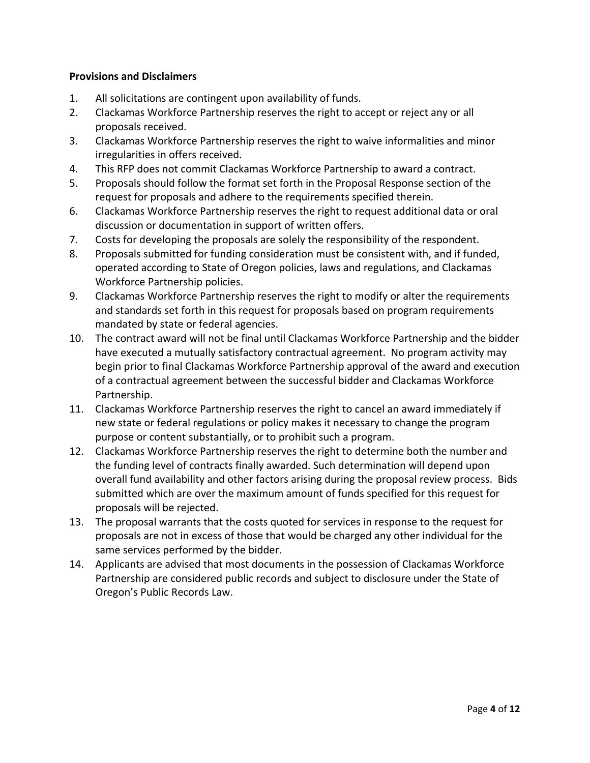#### **Provisions and Disclaimers**

- 1. All solicitations are contingent upon availability of funds.
- 2. Clackamas Workforce Partnership reserves the right to accept or reject any or all proposals received.
- 3. Clackamas Workforce Partnership reserves the right to waive informalities and minor irregularities in offers received.
- 4. This RFP does not commit Clackamas Workforce Partnership to award a contract.
- 5. Proposals should follow the format set forth in the Proposal Response section of the request for proposals and adhere to the requirements specified therein.
- 6. Clackamas Workforce Partnership reserves the right to request additional data or oral discussion or documentation in support of written offers.
- 7. Costs for developing the proposals are solely the responsibility of the respondent.
- 8. Proposals submitted for funding consideration must be consistent with, and if funded, operated according to State of Oregon policies, laws and regulations, and Clackamas Workforce Partnership policies.
- 9. Clackamas Workforce Partnership reserves the right to modify or alter the requirements and standards set forth in this request for proposals based on program requirements mandated by state or federal agencies.
- 10. The contract award will not be final until Clackamas Workforce Partnership and the bidder have executed a mutually satisfactory contractual agreement. No program activity may begin prior to final Clackamas Workforce Partnership approval of the award and execution of a contractual agreement between the successful bidder and Clackamas Workforce Partnership.
- 11. Clackamas Workforce Partnership reserves the right to cancel an award immediately if new state or federal regulations or policy makes it necessary to change the program purpose or content substantially, or to prohibit such a program.
- 12. Clackamas Workforce Partnership reserves the right to determine both the number and the funding level of contracts finally awarded. Such determination will depend upon overall fund availability and other factors arising during the proposal review process. Bids submitted which are over the maximum amount of funds specified for this request for proposals will be rejected.
- 13. The proposal warrants that the costs quoted for services in response to the request for proposals are not in excess of those that would be charged any other individual for the same services performed by the bidder.
- 14. Applicants are advised that most documents in the possession of Clackamas Workforce Partnership are considered public records and subject to disclosure under the State of Oregon's Public Records Law.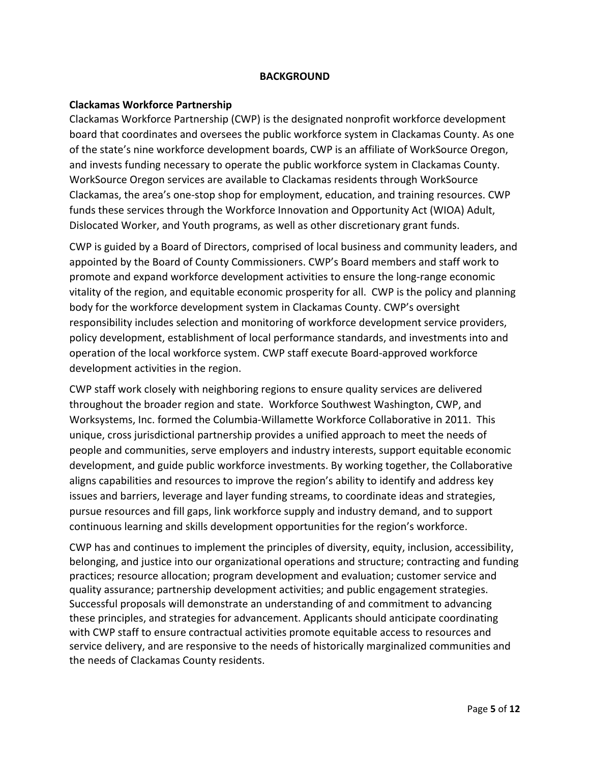#### **BACKGROUND**

#### **Clackamas Workforce Partnership**

Clackamas Workforce Partnership (CWP) is the designated nonprofit workforce development board that coordinates and oversees the public workforce system in Clackamas County. As one of the state's nine workforce development boards, CWP is an affiliate of WorkSource Oregon, and invests funding necessary to operate the public workforce system in Clackamas County. WorkSource Oregon services are available to Clackamas residents through WorkSource Clackamas, the area's one-stop shop for employment, education, and training resources. CWP funds these services through the Workforce Innovation and Opportunity Act (WIOA) Adult, Dislocated Worker, and Youth programs, as well as other discretionary grant funds.

CWP is guided by a Board of Directors, comprised of local business and community leaders, and appointed by the Board of County Commissioners. CWP's Board members and staff work to promote and expand workforce development activities to ensure the long-range economic vitality of the region, and equitable economic prosperity for all. CWP is the policy and planning body for the workforce development system in Clackamas County. CWP's oversight responsibility includes selection and monitoring of workforce development service providers, policy development, establishment of local performance standards, and investments into and operation of the local workforce system. CWP staff execute Board-approved workforce development activities in the region.

CWP staff work closely with neighboring regions to ensure quality services are delivered throughout the broader region and state. Workforce Southwest Washington, CWP, and Worksystems, Inc. formed the Columbia-Willamette Workforce Collaborative in 2011. This unique, cross jurisdictional partnership provides a unified approach to meet the needs of people and communities, serve employers and industry interests, support equitable economic development, and guide public workforce investments. By working together, the Collaborative aligns capabilities and resources to improve the region's ability to identify and address key issues and barriers, leverage and layer funding streams, to coordinate ideas and strategies, pursue resources and fill gaps, link workforce supply and industry demand, and to support continuous learning and skills development opportunities for the region's workforce.

CWP has and continues to implement the principles of diversity, equity, inclusion, accessibility, belonging, and justice into our organizational operations and structure; contracting and funding practices; resource allocation; program development and evaluation; customer service and quality assurance; partnership development activities; and public engagement strategies. Successful proposals will demonstrate an understanding of and commitment to advancing these principles, and strategies for advancement. Applicants should anticipate coordinating with CWP staff to ensure contractual activities promote equitable access to resources and service delivery, and are responsive to the needs of historically marginalized communities and the needs of Clackamas County residents.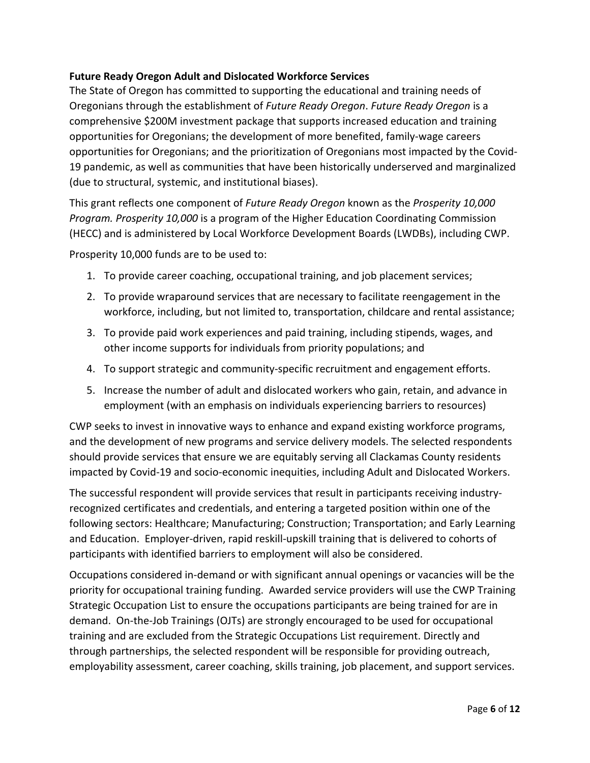## **Future Ready Oregon Adult and Dislocated Workforce Services**

The State of Oregon has committed to supporting the educational and training needs of Oregonians through the establishment of *Future Ready Oregon*. *Future Ready Oregon* is a comprehensive \$200M investment package that supports increased education and training opportunities for Oregonians; the development of more benefited, family-wage careers opportunities for Oregonians; and the prioritization of Oregonians most impacted by the Covid-19 pandemic, as well as communities that have been historically underserved and marginalized (due to structural, systemic, and institutional biases).

This grant reflects one component of *Future Ready Oregon* known as the *Prosperity 10,000 Program. Prosperity 10,000* is a program of the Higher Education Coordinating Commission (HECC) and is administered by Local Workforce Development Boards (LWDBs), including CWP.

Prosperity 10,000 funds are to be used to:

- 1. To provide career coaching, occupational training, and job placement services;
- 2. To provide wraparound services that are necessary to facilitate reengagement in the workforce, including, but not limited to, transportation, childcare and rental assistance;
- 3. To provide paid work experiences and paid training, including stipends, wages, and other income supports for individuals from priority populations; and
- 4. To support strategic and community-specific recruitment and engagement efforts.
- 5. Increase the number of adult and dislocated workers who gain, retain, and advance in employment (with an emphasis on individuals experiencing barriers to resources)

CWP seeks to invest in innovative ways to enhance and expand existing workforce programs, and the development of new programs and service delivery models. The selected respondents should provide services that ensure we are equitably serving all Clackamas County residents impacted by Covid-19 and socio-economic inequities, including Adult and Dislocated Workers.

The successful respondent will provide services that result in participants receiving industryrecognized certificates and credentials, and entering a targeted position within one of the following sectors: Healthcare; Manufacturing; Construction; Transportation; and Early Learning and Education. Employer-driven, rapid reskill-upskill training that is delivered to cohorts of participants with identified barriers to employment will also be considered.

Occupations considered in-demand or with significant annual openings or vacancies will be the priority for occupational training funding. Awarded service providers will use the CWP Training Strategic Occupation List to ensure the occupations participants are being trained for are in demand. On-the-Job Trainings (OJTs) are strongly encouraged to be used for occupational training and are excluded from the Strategic Occupations List requirement. Directly and through partnerships, the selected respondent will be responsible for providing outreach, employability assessment, career coaching, skills training, job placement, and support services.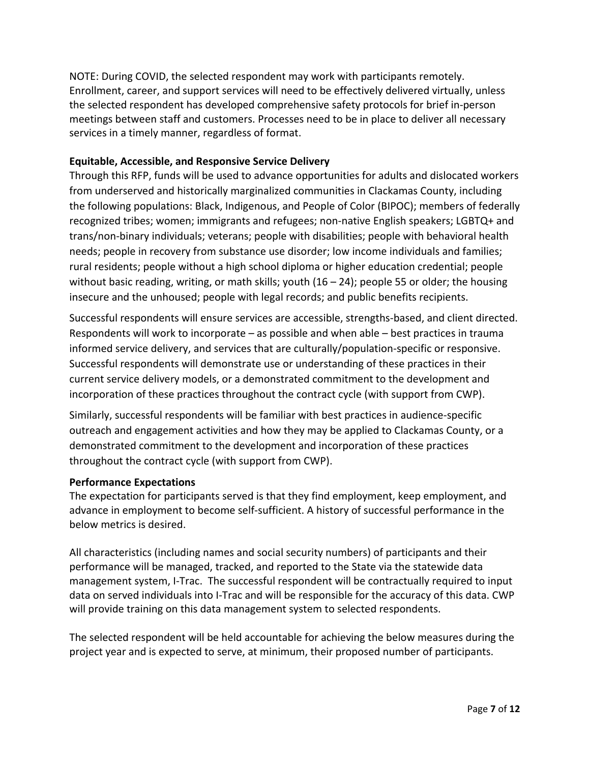NOTE: During COVID, the selected respondent may work with participants remotely. Enrollment, career, and support services will need to be effectively delivered virtually, unless the selected respondent has developed comprehensive safety protocols for brief in-person meetings between staff and customers. Processes need to be in place to deliver all necessary services in a timely manner, regardless of format.

## **Equitable, Accessible, and Responsive Service Delivery**

Through this RFP, funds will be used to advance opportunities for adults and dislocated workers from underserved and historically marginalized communities in Clackamas County, including the following populations: Black, Indigenous, and People of Color (BIPOC); members of federally recognized tribes; women; immigrants and refugees; non-native English speakers; LGBTQ+ and trans/non-binary individuals; veterans; people with disabilities; people with behavioral health needs; people in recovery from substance use disorder; low income individuals and families; rural residents; people without a high school diploma or higher education credential; people without basic reading, writing, or math skills; youth  $(16 - 24)$ ; people 55 or older; the housing insecure and the unhoused; people with legal records; and public benefits recipients.

Successful respondents will ensure services are accessible, strengths-based, and client directed. Respondents will work to incorporate – as possible and when able – best practices in trauma informed service delivery, and services that are culturally/population-specific or responsive. Successful respondents will demonstrate use or understanding of these practices in their current service delivery models, or a demonstrated commitment to the development and incorporation of these practices throughout the contract cycle (with support from CWP).

Similarly, successful respondents will be familiar with best practices in audience-specific outreach and engagement activities and how they may be applied to Clackamas County, or a demonstrated commitment to the development and incorporation of these practices throughout the contract cycle (with support from CWP).

#### **Performance Expectations**

The expectation for participants served is that they find employment, keep employment, and advance in employment to become self-sufficient. A history of successful performance in the below metrics is desired.

All characteristics (including names and social security numbers) of participants and their performance will be managed, tracked, and reported to the State via the statewide data management system, I-Trac. The successful respondent will be contractually required to input data on served individuals into I-Trac and will be responsible for the accuracy of this data. CWP will provide training on this data management system to selected respondents.

The selected respondent will be held accountable for achieving the below measures during the project year and is expected to serve, at minimum, their proposed number of participants.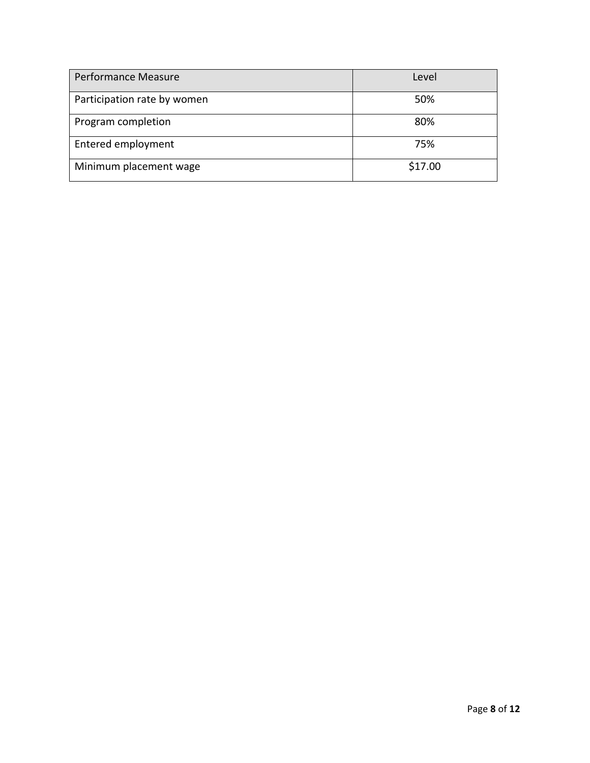| Performance Measure         | Level   |
|-----------------------------|---------|
| Participation rate by women | 50%     |
| Program completion          | 80%     |
| Entered employment          | 75%     |
| Minimum placement wage      | \$17.00 |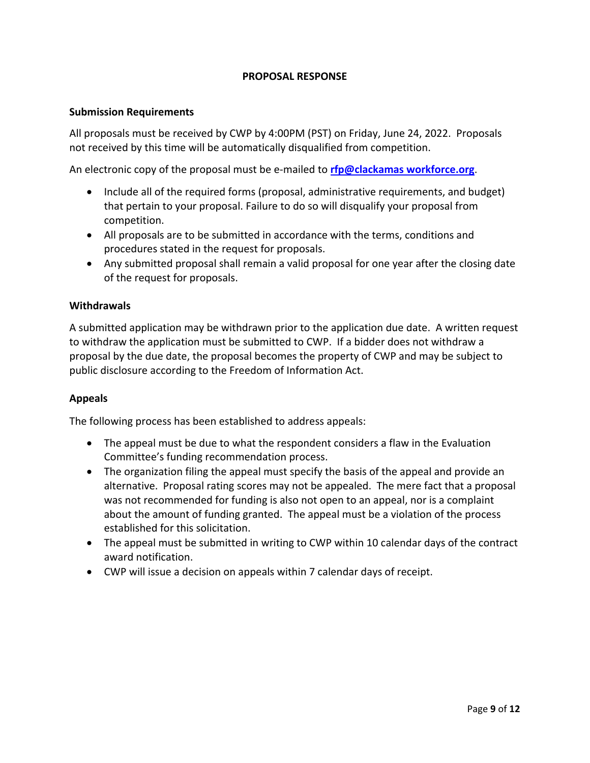## **PROPOSAL RESPONSE**

#### **Submission Requirements**

All proposals must be received by CWP by 4:00PM (PST) on Friday, June 24, 2022. Proposals not received by this time will be automatically disqualified from competition.

An electronic copy of the proposal must be e-mailed to **rfp@clackamas workforce.org**.

- Include all of the required forms (proposal, administrative requirements, and budget) that pertain to your proposal. Failure to do so will disqualify your proposal from competition.
- All proposals are to be submitted in accordance with the terms, conditions and procedures stated in the request for proposals.
- Any submitted proposal shall remain a valid proposal for one year after the closing date of the request for proposals.

#### **Withdrawals**

A submitted application may be withdrawn prior to the application due date. A written request to withdraw the application must be submitted to CWP. If a bidder does not withdraw a proposal by the due date, the proposal becomes the property of CWP and may be subject to public disclosure according to the Freedom of Information Act.

#### **Appeals**

The following process has been established to address appeals:

- The appeal must be due to what the respondent considers a flaw in the Evaluation Committee's funding recommendation process.
- The organization filing the appeal must specify the basis of the appeal and provide an alternative. Proposal rating scores may not be appealed. The mere fact that a proposal was not recommended for funding is also not open to an appeal, nor is a complaint about the amount of funding granted. The appeal must be a violation of the process established for this solicitation.
- The appeal must be submitted in writing to CWP within 10 calendar days of the contract award notification.
- CWP will issue a decision on appeals within 7 calendar days of receipt.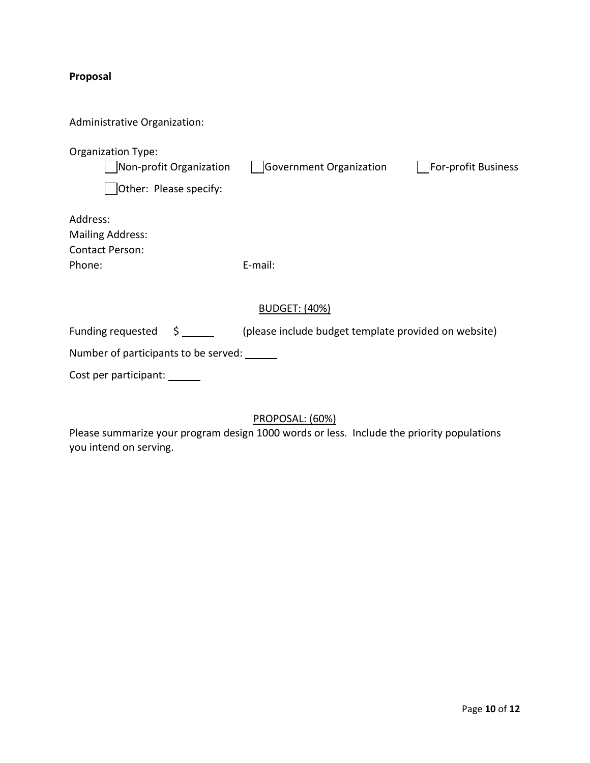# **Proposal**

| Administrative Organization:                                                   |                                                      |                     |
|--------------------------------------------------------------------------------|------------------------------------------------------|---------------------|
| <b>Organization Type:</b><br>Non-profit Organization<br>Other: Please specify: | Government Organization                              | For-profit Business |
| Address:<br><b>Mailing Address:</b><br><b>Contact Person:</b><br>Phone:        | E-mail:                                              |                     |
|                                                                                | <b>BUDGET: (40%)</b>                                 |                     |
| $\sharp$ , and $\sharp$<br>Funding requested                                   | (please include budget template provided on website) |                     |
| Number of participants to be served:                                           |                                                      |                     |
| Cost per participant:                                                          |                                                      |                     |

## PROPOSAL: (60%)

Please summarize your program design 1000 words or less. Include the priority populations you intend on serving.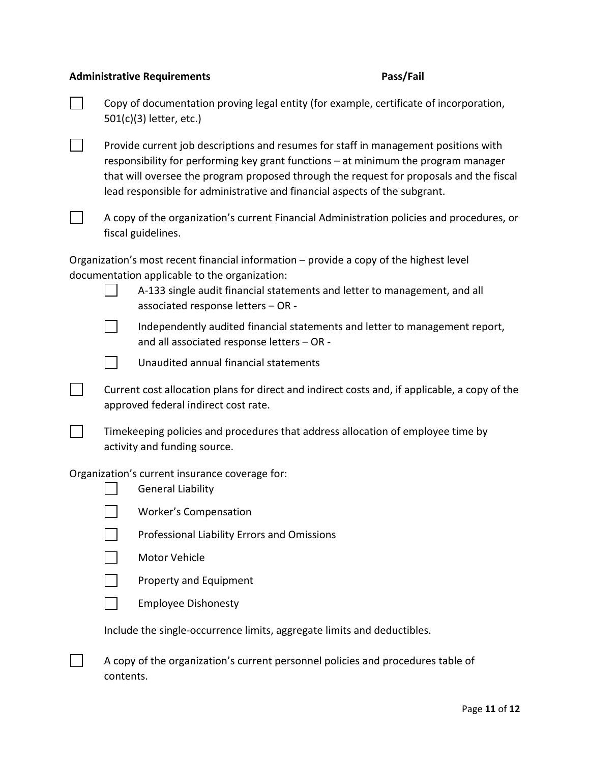#### **Administrative Requirements Pass/Fail**

Copy of documentation proving legal entity (for example, certificate of incorporation, 501(c)(3) letter, etc.)

 $\blacksquare$ Provide current job descriptions and resumes for staff in management positions with responsibility for performing key grant functions – at minimum the program manager that will oversee the program proposed through the request for proposals and the fiscal lead responsible for administrative and financial aspects of the subgrant.



A copy of the organization's current Financial Administration policies and procedures, or fiscal guidelines.

Organization's most recent financial information – provide a copy of the highest level documentation applicable to the organization:

| | A-133 single audit financial statements and letter to management, and all associated response letters – OR -

 $\mathbf{L}$ Independently audited financial statements and letter to management report, and all associated response letters – OR -



 $\sim 1$ 

 $\Box$ 

Unaudited annual financial statements

Current cost allocation plans for direct and indirect costs and, if applicable, a copy of the approved federal indirect cost rate.

Timekeeping policies and procedures that address allocation of employee time by activity and funding source.

Organization's current insurance coverage for:

- $\vert \ \ \vert$ General Liability
	- Worker's Compensation
- $\mathbf{1}$ Professional Liability Errors and Omissions
- $\mathbf{1}$ Motor Vehicle
	- Property and Equipment
- Employee Dishonesty

Include the single-occurrence limits, aggregate limits and deductibles.

 $\Box$ A copy of the organization's current personnel policies and procedures table of contents.